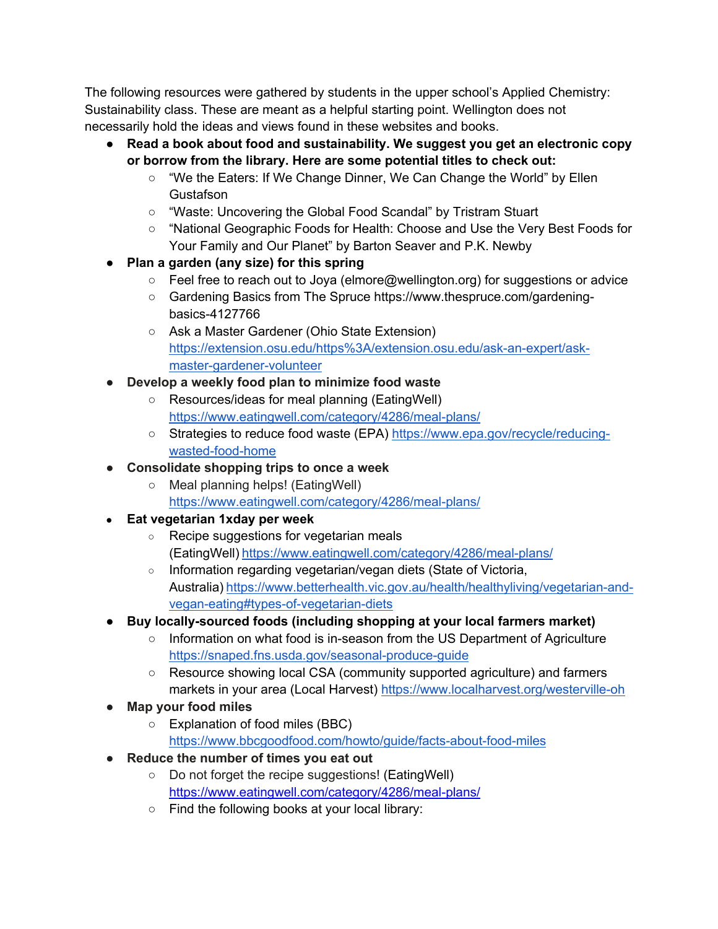The following resources were gathered by students in the upper school's Applied Chemistry: Sustainability class. These are meant as a helpful starting point. Wellington does not necessarily hold the ideas and views found in these websites and books.

- **Read a book about food and sustainability. We suggest you get an electronic copy or borrow from the library. Here are some potential titles to check out:** 
	- "We the Eaters: If We Change Dinner, We Can Change the World" by Ellen **Gustafson**
	- "Waste: Uncovering the Global Food Scandal" by Tristram Stuart
	- "National Geographic Foods for Health: Choose and Use the Very Best Foods for Your Family and Our Planet" by Barton Seaver and P.K. Newby
- **Plan a garden (any size) for this spring** 
	- Feel free to reach out to Joya (elmore@wellington.org) for suggestions or advice
	- Gardening Basics from The Spruce https://www.thespruce.com/gardeningbasics-4127766
	- Ask a Master Gardener (Ohio State Extension) https://extension.osu.edu/https%3A/extension.osu.edu/ask-an-expert/askmaster-gardener-volunteer
- **Develop a weekly food plan to minimize food waste** 
	- Resources/ideas for meal planning (EatingWell) https://www.eatingwell.com/category/4286/meal-plans/
	- Strategies to reduce food waste (EPA) https://www.epa.gov/recycle/reducingwasted-food-home
- **Consolidate shopping trips to once a week** 
	- Meal planning helps! (EatingWell) https://www.eatingwell.com/category/4286/meal-plans/
- **Eat vegetarian 1xday per week**
	- Recipe suggestions for vegetarian meals (EatingWell) https://www.eatingwell.com/category/4286/meal-plans/
	- Information regarding vegetarian/vegan diets (State of Victoria, Australia) https://www.betterhealth.vic.gov.au/health/healthyliving/vegetarian-andvegan-eating#types-of-vegetarian-diets
- **Buy locally-sourced foods (including shopping at your local farmers market)** 
	- Information on what food is in-season from the US Department of Agriculture https://snaped.fns.usda.gov/seasonal-produce-guide
	- Resource showing local CSA (community supported agriculture) and farmers markets in your area (Local Harvest) https://www.localharvest.org/westerville-oh
- **Map your food miles** 
	- Explanation of food miles (BBC) https://www.bbcgoodfood.com/howto/guide/facts-about-food-miles
- **Reduce the number of times you eat out** 
	- Do not forget the recipe suggestions! (EatingWell) https://www.eatingwell.com/category/4286/meal-plans/
	- Find the following books at your local library: